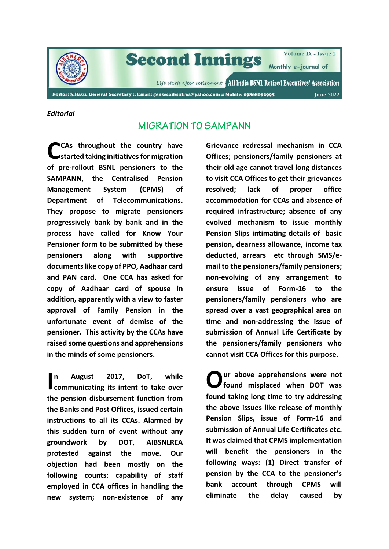

# **Second Innings**

Volume IX - Issue 1

Monthly e-journal of

Life starts after retirement [All India BSNL Retired Executives' Association

Editor: S.Basu, General Secretary :: Email: gensecaibsnlrea@yahoo.com :: Mobile: 09868092995

**June 2022** 

#### *Editorial*

## **MIGRATION TO SAMPANN**

**CAs throughout the country have started taking initiatives for migration of pre-rollout BSNL pensioners to the SAMPANN, the Centralised Pension Management System (CPMS) of Department of Telecommunications. They propose to migrate pensioners progressively bank by bank and in the process have called for Know Your Pensioner form to be submitted by these pensioners along with supportive documents like copy of PPO, Aadhaar card and PAN card. One CCA has asked for copy of Aadhaar card of spouse in addition, apparently with a view to faster approval of Family Pension in the unfortunate event of demise of the pensioner. This activity by the CCAs have raised some questions and apprehensions in the minds of some pensioners. C**

**n August 2017, DoT, while communicating its intent to take over the pension disbursement function from the Banks and Post Offices, issued certain instructions to all its CCAs. Alarmed by this sudden turn of event without any groundwork by DOT, AIBSNLREA protested against the move. Our objection had been mostly on the following counts: capability of staff employed in CCA offices in handling the new system; non-existence of any** 

**Grievance redressal mechanism in CCA Offices; pensioners/family pensioners at their old age cannot travel long distances to visit CCA Offices to get their grievances resolved; lack of proper office accommodation for CCAs and absence of required infrastructure; absence of any evolved mechanism to issue monthly Pension Slips intimating details of basic pension, dearness allowance, income tax deducted, arrears etc through SMS/email to the pensioners/family pensioners; non-evolving of any arrangement to ensure issue of Form-16 to the pensioners/family pensioners who are spread over a vast geographical area on time and non-addressing the issue of submission of Annual Life Certificate by the pensioners/family pensioners who cannot visit CCA Offices for this purpose.** 

**ur above apprehensions were not found misplaced when DOT was found taking long time to try addressing the above issues like release of monthly Pension Slips, issue of Form-16 and submission of Annual Life Certificates etc. It was claimed that CPMS implementation will benefit the pensioners in the following ways: (1) Direct transfer of pension by the CCA to the pensioner's bank account through CPMS will eliminate the delay caused by**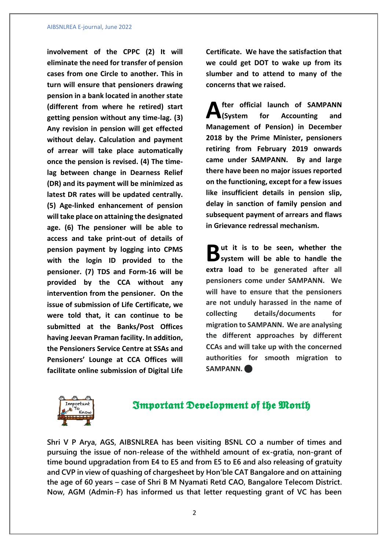#### AIBSNLREA E-journal, June 2022

**involvement of the CPPC (2) It will eliminate the need for transfer of pension cases from one Circle to another. This in turn will ensure that pensioners drawing pension in a bank located in another state (different from where he retired) start getting pension without any time-lag. (3) Any revision in pension will get effected without delay. Calculation and payment of arrear will take place automatically once the pension is revised. (4) The timelag between change in Dearness Relief (DR) and its payment will be minimized as latest DR rates will be updated centrally. (5) Age-linked enhancement of pension will take place on attaining the designated age. (6) The pensioner will be able to access and take print-out of details of pension payment by logging into CPMS with the login ID provided to the pensioner. (7) TDS and Form-16 will be provided by the CCA without any intervention from the pensioner. On the issue of submission of Life Certificate, we were told that, it can continue to be submitted at the Banks/Post Offices having Jeevan Praman facility. In addition, the Pensioners Service Centre at SSAs and Pensioners' Lounge at CCA Offices will facilitate online submission of Digital Life**  **Certificate. We have the satisfaction that we could get DOT to wake up from its slumber and to attend to many of the concerns that we raised.**

**fter official launch of SAMPANN (System for Accounting and Management of Pension) in December 2018 by the Prime Minister, pensioners retiring from February 2019 onwards came under SAMPANN. By and large there have been no major issues reported on the functioning, except for a few issues like insufficient details in pension slip, delay in sanction of family pension and subsequent payment of arrears and flaws in Grievance redressal mechanism. A**

**ut it is to be seen, whether the** But it is to be seen, whether the system will be able to handle the **extra load to be generated after all pensioners come under SAMPANN. We will have to ensure that the pensioners are not unduly harassed in the name of collecting details/documents for migration to SAMPANN. We are analysing the different approaches by different CCAs and will take up with the concerned authorities for smooth migration to SAMPANN.** 



## **Important Development of the Month**

**Shri V P Arya, AGS, AIBSNLREA has been visiting BSNL CO a number of times and pursuing the issue of non-release of the withheld amount of ex-gratia, non-grant of time bound upgradation from E4 to E5 and from E5 to E6 and also releasing of gratuity and CVP in view of quashing of chargesheet by Hon'ble CAT Bangalore and on attaining the age of 60 years – case of Shri B M Nyamati Retd CAO, Bangalore Telecom District. Now, AGM (Admin-F) has informed us that letter requesting grant of VC has been**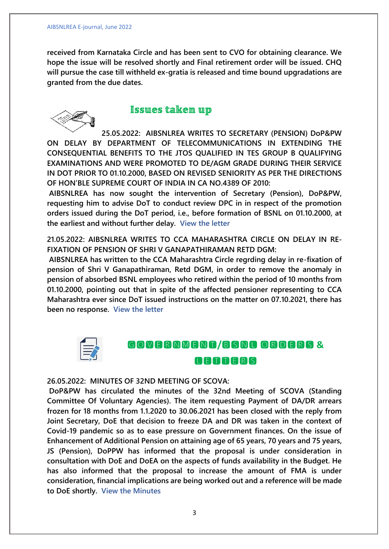**received from Karnataka Circle and has been sent to CVO for obtaining clearance. We hope the issue will be resolved shortly and Final retirement order will be issued. CHQ will pursue the case till withheld ex-gratia is released and time bound upgradations are granted from the due dates.**



### **Issues taken up**

**25.05.2022: AIBSNLREA WRITES TO SECRETARY (PENSION) DoP&PW ON DELAY BY DEPARTMENT OF TELECOMMUNICATIONS IN EXTENDING THE CONSEQUENTIAL BENEFITS TO THE JTOS QUALIFIED IN TES GROUP B QUALIFYING EXAMINATIONS AND WERE PROMOTED TO DE/AGM GRADE DURING THEIR SERVICE IN DOT PRIOR TO 01.10.2000, BASED ON REVISED SENIORITY AS PER THE DIRECTIONS OF HON'BLE SUPREME COURT OF INDIA IN CA NO.4389 OF 2010:**

**AIBSNLREA has now sought the intervention of Secretary (Pension), DoP&PW, requesting him to advise DoT to conduct review DPC in in respect of the promotion orders issued during the DoT period, i.e., before formation of BSNL on 01.10.2000, at the earliest and without further delay. [View the letter](https://www.aibsnlrea.org/circulars/todoppwconsequentialbenefits.pdf)**

**21.05.2022: AIBSNLREA WRITES TO CCA MAHARASHTRA CIRCLE ON DELAY IN RE-FIXATION OF PENSION OF SHRI V GANAPATHIRAMAN RETD DGM:**

**AIBSNLREA has written to the CCA Maharashtra Circle regrding delay in re-fixation of pension of Shri V Ganapathiraman, Retd DGM, in order to remove the anomaly in pension of absorbed BSNL employees who retired within the period of 10 months from 01.10.2000, pointing out that in spite of the affected pensioner representing to CCA Maharashtra ever since DoT issued instructions on the matter on 07.10.2021, there has been no response. [View the letter](https://www.aibsnlrea.org/circulars/toccamhganapathiraman.pdf)**



## **/ & ANGARS**

#### **26.05.2022: MINUTES OF 32ND MEETING OF SCOVA:**

**DoP&PW has circulated the minutes of the 32nd Meeting of SCOVA (Standing Committee Of Voluntary Agencies). The item requesting Payment of DA/DR arrears frozen for 18 months from 1.1.2020 to 30.06.2021 has been closed with the reply from Joint Secretary, DoE that decision to freeze DA and DR was taken in the context of Covid-19 pandemic so as to ease pressure on Government finances. On the issue of Enhancement of Additional Pension on attaining age of 65 years, 70 years and 75 years, JS (Pension), DoPPW has informed that the proposal is under consideration in consultation with DoE and DoEA on the aspects of funds availability in the Budget. He has also informed that the proposal to increase the amount of FMA is under consideration, financial implications are being worked out and a reference will be made to DoE shortly. [View the Minutes](https://www.aibsnlrea.org/imporders/scova32minutes.pdf)**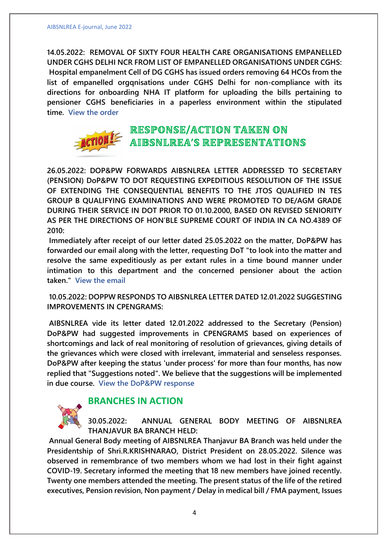**14.05.2022: REMOVAL OF SIXTY FOUR HEALTH CARE ORGANISATIONS EMPANELLED UNDER CGHS DELHI NCR FROM LIST OF EMPANELLED ORGANISATIONS UNDER CGHS: Hospital empanelment Cell of DG CGHS has issued orders removing 64 HCOs from the list of empanelled orgqnisations under CGHS Delhi for non-compliance with its directions for onboarding NHA IT platform for uploading the bills pertaining to pensioner CGHS beneficiaries in a paperless environment within the stipulated time. [View the order](https://www.aibsnlrea.org/imporders/cghsdelhi64hcos.pdf)**



## **RESPONSE/ACTION TAKEN ON AIBSNLREA'S REPRESENTATIONS**

**26.05.2022: DOP&PW FORWARDS AIBSNLREA LETTER ADDRESSED TO SECRETARY (PENSION) DoP&PW TO DOT REQUESTING EXPEDITIOUS RESOLUTION OF THE ISSUE OF EXTENDING THE CONSEQUENTIAL BENEFITS TO THE JTOS QUALIFIED IN TES GROUP B QUALIFYING EXAMINATIONS AND WERE PROMOTED TO DE/AGM GRADE DURING THEIR SERVICE IN DOT PRIOR TO 01.10.2000, BASED ON REVISED SENIORITY AS PER THE DIRECTIONS OF HON'BLE SUPREME COURT OF INDIA IN CA NO.4389 OF 2010:**

**Immediately after receipt of our letter dated 25.05.2022 on the matter, DoP&PW has forwarded our email along with the letter, requesting DoT "to look into the matter and resolve the same expeditiously as per extant rules in a time bound manner under intimation to this department and the concerned pensioner about the action taken." [View the email](https://www.aibsnlrea.org/imporders/doppwtodotconsequential.pdf)**

**10.05.2022: DOPPW RESPONDS TO AIBSNLREA LETTER DATED 12.01.2022 SUGGESTING IMPROVEMENTS IN CPENGRAMS:**

**AIBSNLREA vide its letter dated 12.01.2022 addressed to the Secretary (Pension) DoP&PW had suggested improvements in CPENGRAMS based on experiences of shortcomings and lack of real monitoring of resolution of grievances, giving details of the grievances which were closed with irrelevant, immaterial and senseless responses. DoP&PW after keeping the status 'under process' for more than four months, has now replied that "Suggestions noted". We believe that the suggestions will be implemented in due course. [View the DoP&PW response](https://www.aibsnlrea.org/imporders/doppwresponseimprovements.pdf)**



## **BRANCHES IN ACTION**

**30.05.2022: ANNUAL GENERAL BODY MEETING OF AIBSNLREA THANJAVUR BA BRANCH HELD:**

**Annual General Body meeting of AIBSNLREA Thanjavur BA Branch was held under the Presidentship of Shri.R.KRISHNARAO, District President on 28.05.2022. Silence was observed in remembrance of two members whom we had lost in their fight against COVID-19. Secretary informed the meeting that 18 new members have joined recently. Twenty one members attended the meeting. The present status of the life of the retired executives, Pension revision, Non payment / Delay in medical bill / FMA payment, Issues**